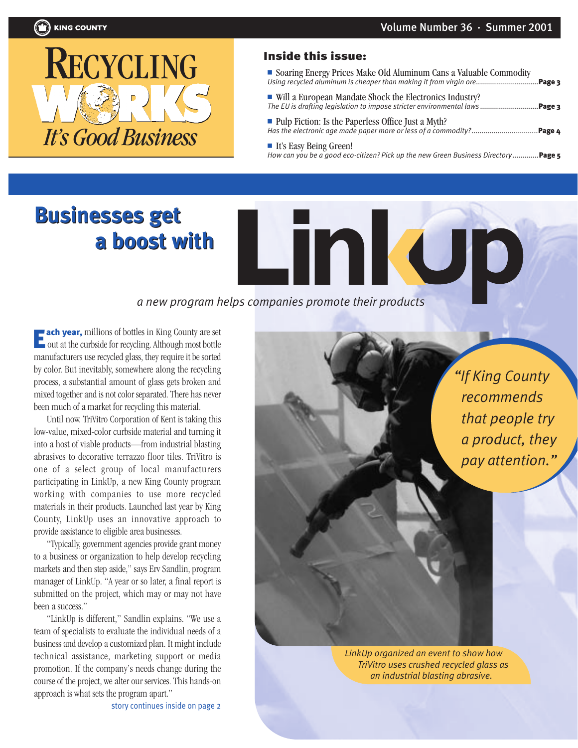

#### Inside this issue:

| Soaring Energy Prices Make Old Aluminum Cans a Valuable Commodity<br>Using recycled aluminum is cheaper than making it from virgin ore Page 3   |
|-------------------------------------------------------------------------------------------------------------------------------------------------|
| ■ Will a European Mandate Shock the Electronics Industry?<br>The EU is drafting legislation to impose stricter environmental laws <b>Page 3</b> |
| $\blacksquare$ Pulp Fiction: Is the Paperless Office Just a Myth?                                                                               |
| ■ It's Easy Being Green!<br>How can you be a good eco-citizen? Pick up the new Green Business Directory Page 5                                  |

**LINIC** 

## **Businesses get Businesses get a boost with a boost with**

### *a new program helps companies promote their products*

ach year, millions of bottles in King County are set **Example are, millions** of bottles in King County are set out at the curbside for recycling. Although most bottle manufacturers use recycled glass, they require it be sorted by color. But inevitably, somewhere along the recycling process, a substantial amount of glass gets broken and mixed together and is not color separated. There has never been much of a market for recycling this material.

Until now. TriVitro Corporation of Kent is taking this low-value, mixed-color curbside material and turning it into a host of viable products—from industrial blasting abrasives to decorative terrazzo floor tiles. TriVitro is one of a select group of local manufacturers participating in LinkUp, a new King County program working with companies to use more recycled materials in their products. Launched last year by King County, LinkUp uses an innovative approach to provide assistance to eligible area businesses.

"Typically, government agencies provide grant money to a business or organization to help develop recycling markets and then step aside," says Erv Sandlin, program manager of LinkUp. "A year or so later, a final report is submitted on the project, which may or may not have been a success."

"LinkUp is different," Sandlin explains. "We use a team of specialists to evaluate the individual needs of a business and develop a customized plan. It might include technical assistance, marketing support or media promotion. If the company's needs change during the course of the project, we alter our services. This hands-on approach is what sets the program apart."

story continues inside on page 2

*"If King County recommends that people try a product, they pay attention."*

*LinkUp organized an event to show how TriVitro uses crushed recycled glass as an industrial blasting abrasive.*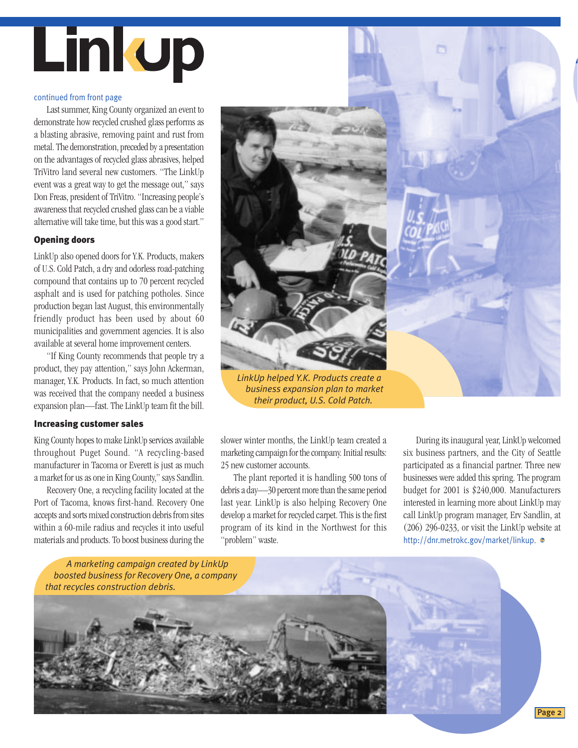# **Linkup**

#### continued from front page

Last summer, King County organized an event to demonstrate how recycled crushed glass performs as a blasting abrasive, removing paint and rust from metal. The demonstration, preceded by a presentation on the advantages of recycled glass abrasives, helped TriVitro land several new customers. "The LinkUp event was a great way to get the message out," says Don Freas, president of TriVitro. "Increasing people's awareness that recycled crushed glass can be a viable alternative will take time, but this was a good start."

#### Opening doors

LinkUp also opened doors for Y.K. Products, makers of U.S. Cold Patch, a dry and odorless road-patching compound that contains up to 70 percent recycled asphalt and is used for patching potholes. Since production began last August, this environmentally friendly product has been used by about 60 municipalities and government agencies. It is also available at several home improvement centers.

"If King County recommends that people try a product, they pay attention," says John Ackerman, manager, Y.K. Products. In fact, so much attention was received that the company needed a business expansion plan—fast. The LinkUp team fit the bill.

#### Increasing customer sales

King County hopes to make LinkUp services available throughout Puget Sound. "A recycling-based manufacturer in Tacoma or Everett is just as much a market for us as one in King County," says Sandlin.

Recovery One, a recycling facility located at the Port of Tacoma, knows first-hand. Recovery One accepts and sorts mixed construction debris from sites within a 60-mile radius and recycles it into useful materials and products. To boost business during the



*LinkUp helped Y.K. Products create a business expansion plan to market their product, U.S. Cold Patch.*

slower winter months, the LinkUp team created a marketing campaign for the company. Initial results: 25 new customer accounts.

The plant reported it is handling 500 tons of debris a day—30 percent more than the same period last year. LinkUp is also helping Recovery One develop a market for recycled carpet. This is the first program of its kind in the Northwest for this "problem" waste.

During its inaugural year, LinkUp welcomed six business partners, and the City of Seattle participated as a financial partner. Three new businesses were added this spring. The program budget for 2001 is \$240,000. Manufacturers interested in learning more about LinkUp may call LinkUp program manager, Erv Sandlin, at (206) 296-0233, or visit the LinkUp website at <http://dnr.metrokc.gov/market/linkup>.

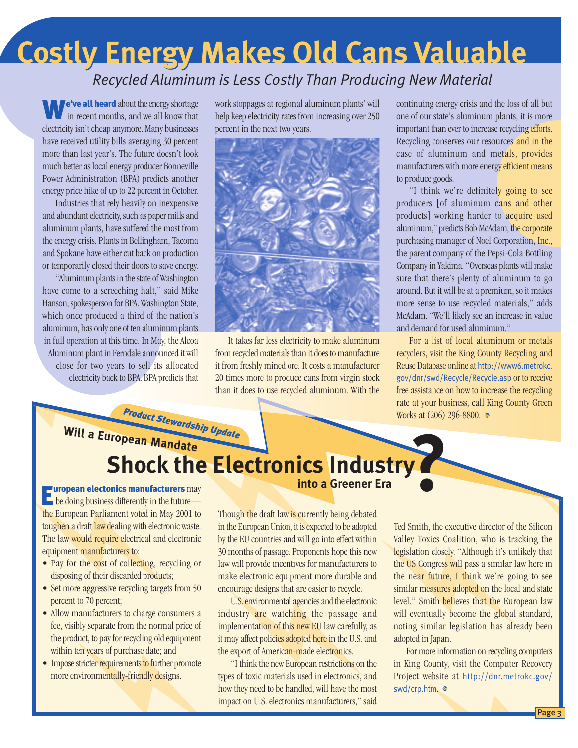## **Costly Energy Makes Old Cans Valuable Costly Energy Makes Old Cans Valuable**  *Recycled Aluminum is Less Costly Than Producing New Material*

**e've all heard** about the energy shortage in recent months, and we all know that electricity isn't cheap anymore. Many businesses have received utility bills averaging 30 percent more than last year's. The future doesn't look much better as local energy producer Bonneville Power Administration (BPA) predicts another energy price hike of up to 22 percent in October.

Industries that rely heavily on inexpensive and abundant electricity, such as paper mills and aluminum plants, have suffered the most from the energy crisis. Plants in Bellingham, Tacoma and Spokane have either cut back on production or temporarily closed their doors to save energy.

"Aluminum plants in the state of Washington have come to a screeching halt," said Mike Hanson, spokesperson for BPA. Washington State, which once produced a third of the nation's aluminum, has only one of ten aluminum plants in full operation at this time. In May, the Alcoa Aluminum plant in Ferndale announced it will close for two years to sell its allocated electricity back to BPA. BPA predicts that

We've all heard about the energy shortage work stoppages at regional aluminum plants' will<br>in recent months, and we all know that help keep electricity rates from increasing over 250 percent in the next two years.



It takes far less electricity to make aluminum from recycled materials than it does to manufacture it from freshly mined ore. It costs a manufacturer 20 times more to produce cans from virgin stock than it does to use recycled aluminum. With the

continuing energy crisis and the loss of all but one of our state's aluminum plants, it is more important than ever to increase recycling efforts. Recycling conserves our resources and in the case of aluminum and metals, provides manufacturers with more energy efficient means to produce goods.

"I think we're definitely going to see producers [of aluminum cans and other products] working harder to acquire used aluminum," predicts Bob McAdam, the corporate purchasing manager of Noel Corporation, Inc., the parent company of the Pepsi-Cola Bottling Company in Yakima. "Overseas plants will make sure that there's plenty of aluminum to go around. But it will be at a premium, so it makes more sense to use recycled materials," adds McAdam. "We'll likely see an increase in value and demand for used aluminum."

For a list of local aluminum or metals recyclers, visit the King County Recycling and Reuse Database online at [http://www6.metrokc.](http://www6.metrokc.gov/dnr/swd/Recycle/Recycle.asp) [gov/dnr/swd/Recycle/Recycle.asp](http://www6.metrokc.gov/dnr/swd/Recycle/Recycle.asp) or to receive free assistance on how to increase the recycling rate at your business, call King County Green Works at (206) 296-8800.  $\infty$ 

## **Shock the Electronics Industry into a Greener Era Will a European Mandate Product Stewardship Update**<br> **Pean Mandate**<br> **hock the Electronics Industry**<br> **into a Greener Era**<br> **ferently in the future—**

**European electonics manufacturers** may **Express descriptions in the future—**<br>Be doing business differently in the future the European Parliament voted in May 2001 to toughen a draft law dealing with electronic waste. The law would require electrical and electronic equipment manufacturers to:

- Pay for the cost of collecting, recycling or disposing of their discarded products;
- Set more aggressive recycling targets from 50 percent to 70 percent;
- Allow manufacturers to charge consumers a fee, visibly separate from the normal price of the product, to pay for recycling old equipment within ten years of purchase date; and
- Impose stricter requirements to further promote more environmentally-friendly designs.

Though the draft law is currently being debated in the European Union, it is expected to be adopted by the EU countries and will go into effect within 30 months of passage. Proponents hope this new law will provide incentives for manufacturers to make electronic equipment more durable and encourage designs that are easier to recycle.

U.S. environmental agencies and the electronic industry are watching the passage and implementation of this new EU law carefully, as it may affect policies adopted here in the U.S. and the export of American-made electronics.

"I think the new European restrictions on the types of toxic materials used in electronics, and how they need to be handled, will have the most impact on U.S. electronics manufacturers," said Ted Smith, the executive director of the Silicon Valley Toxics Coalition, who is tracking the legislation closely. "Although it's unlikely that the US Congress will pass a similar law here in the near future, I think we're going to see similar measures adopted on the local and state level." Smith believes that the European law will eventually become the global standard, noting similar legislation has already been adopted in Japan.

For more information on recycling computers in King County, visit the Computer Recovery Project website at [http://dnr.metrokc.gov/](http://dnr.metrokc.gov/swd/crp.htm) [swd/crp.htm](http://dnr.metrokc.gov/swd/crp.htm).

Page 3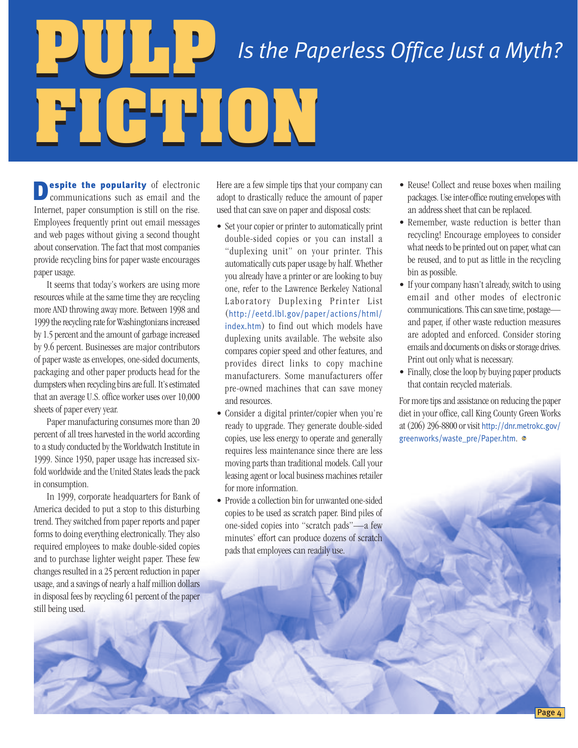## *Is the Paperless Office Just a Myth?* **PULP FICTION**

espite the popularity of electronic **D** espite the popularity of electronic communications such as email and the Internet, paper consumption is still on the rise. Employees frequently print out email messages and web pages without giving a second thought about conservation. The fact that most companies provide recycling bins for paper waste encourages paper usage.

It seems that today's workers are using more resources while at the same time they are recycling more AND throwing away more. Between 1998 and 1999 the recycling rate for Washingtonians increased by 1.5 percent and the amount of garbage increased by 9.6 percent. Businesses are major contributors of paper waste as envelopes, one-sided documents, packaging and other paper products head for the dumpsters when recycling bins are full. It's estimated that an average U.S. office worker uses over 10,000 sheets of paper every year.

Paper manufacturing consumes more than 20 percent of all trees harvested in the world according to a study conducted by the Worldwatch Institute in 1999. Since 1950, paper usage has increased sixfold worldwide and the United States leads the pack in consumption.

In 1999, corporate headquarters for Bank of America decided to put a stop to this disturbing trend. They switched from paper reports and paper forms to doing everything electronically. They also required employees to make double-sided copies and to purchase lighter weight paper. These few changes resulted in a 25 percent reduction in paper usage, and a savings of nearly a half million dollars in disposal fees by recycling 61 percent of the paper still being used.

Here are a few simple tips that your company can adopt to drastically reduce the amount of paper used that can save on paper and disposal costs:

- Set your copier or printer to automatically print double-sided copies or you can install a "duplexing unit" on your printer. This automatically cuts paper usage by half. Whether you already have a printer or are looking to buy one, refer to the Lawrence Berkeley National Laboratory Duplexing Printer List ([http://eetd.lbl.gov/paper/actions/html/](http://eetd.lbl.gov/paper/actions/html/index.htm) [index.htm](http://eetd.lbl.gov/paper/actions/html/index.htm)) to find out which models have duplexing units available. The website also compares copier speed and other features, and provides direct links to copy machine manufacturers. Some manufacturers offer pre-owned machines that can save money and resources.
- Consider a digital printer/copier when you're ready to upgrade. They generate double-sided copies, use less energy to operate and generally requires less maintenance since there are less moving parts than traditional models. Call your leasing agent or local business machines retailer for more information.
- Provide a collection bin for unwanted one-sided copies to be used as scratch paper. Bind piles of one-sided copies into "scratch pads"—a few minutes' effort can produce dozens of scratch pads that employees can readily use.
- Reuse! Collect and reuse boxes when mailing packages. Use inter-office routing envelopes with an address sheet that can be replaced.
- Remember, waste reduction is better than recycling! Encourage employees to consider what needs to be printed out on paper, what can be reused, and to put as little in the recycling bin as possible.
- If your company hasn't already, switch to using email and other modes of electronic communications. This can save time, postage and paper, if other waste reduction measures are adopted and enforced. Consider storing emails and documents on disks or storage drives. Print out only what is necessary.
- Finally, close the loop by buying paper products that contain recycled materials.

For more tips and assistance on reducing the paper diet in your office, call King County Green Works at (206) 296-8800 or visit [http://dnr.metrokc.gov/](http://dnr.metrokc.gov/greenworks/waste_pre/Paper.htm) [greenworks/waste\\_pre/Paper.htm](http://dnr.metrokc.gov/greenworks/waste_pre/Paper.htm).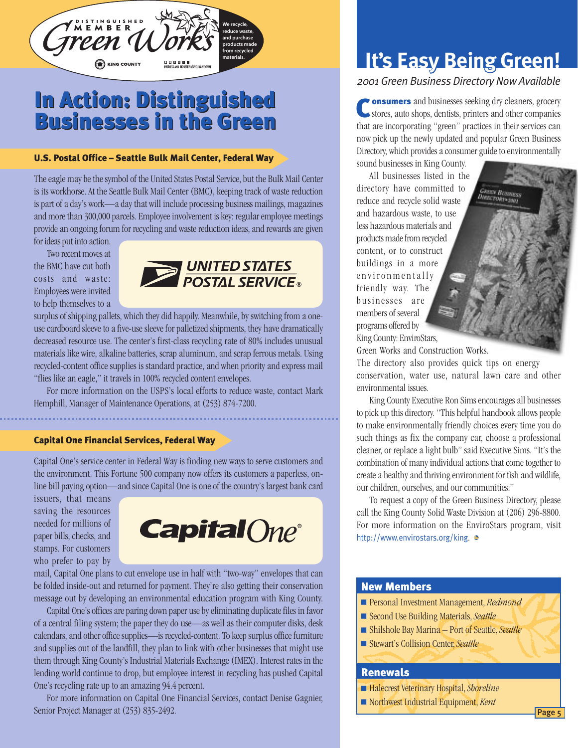

#### In Action: Distinguished Businesses in the Green In Action: Distinguished Businesses in the Green

#### U.S. Postal Office – Seattle Bulk Mail Center, Federal Way

The eagle may be the symbol of the United States Postal Service, but the Bulk Mail Center is its workhorse. At the Seattle Bulk Mail Center (BMC), keeping track of waste reduction is part of a day's work—a day that will include processing business mailings, magazines and more than 300,000 parcels. Employee involvement is key: regular employee meetings provide an ongoing forum for recycling and waste reduction ideas, and rewards are given

for ideas put into action.

Two recent moves at the BMC have cut both costs and waste: Employees were invited to help themselves to a



surplus of shipping pallets, which they did happily. Meanwhile, by switching from a oneuse cardboard sleeve to a five-use sleeve for palletized shipments, they have dramatically decreased resource use. The center's first-class recycling rate of 80% includes unusual materials like wire, alkaline batteries, scrap aluminum, and scrap ferrous metals. Using recycled-content office supplies is standard practice, and when priority and express mail "flies like an eagle," it travels in 100% recycled content envelopes.

For more information on the USPS's local efforts to reduce waste, contact Mark Hemphill, Manager of Maintenance Operations, at (253) 874-7200.

#### Capital One Financial Services, Federal Way

Capital One's service center in Federal Way is finding new ways to serve customers and the environment. This Fortune 500 company now offers its customers a paperless, online bill paying option—and since Capital One is one of the country's largest bank card

issuers, that means saving the resources needed for millions of paper bills, checks, and stamps. For customers who prefer to pay by



mail, Capital One plans to cut envelope use in half with "two-way" envelopes that can be folded inside-out and returned for payment. They're also getting their conservation message out by developing an environmental education program with King County.

Capital One's offices are paring down paper use by eliminating duplicate files in favor of a central filing system; the paper they do use—as well as their computer disks, desk calendars, and other office supplies—is recycled-content. To keep surplus office furniture and supplies out of the landfill, they plan to link with other businesses that might use them through King County's Industrial Materials Exchange (IMEX). Interest rates in the lending world continue to drop, but employee interest in recycling has pushed Capital One's recycling rate up to an amazing 94.4 percent.

For more information on Capital One Financial Services, contact Denise Gagnier, Senior Project Manager at (253) 835-2492.

### **It's Easy Being Green!**

*2001 Green Business Directory Now Available*

onsumers and businesses seeking dry cleaners, grocery Consumers and businesses seeking dry cleaners, grocery<br>stores, auto shops, dentists, printers and other companies that are incorporating "green" practices in their services can now pick up the newly updated and popular Green Business Directory, which provides a consumer guide to environmentally sound businesses in King County.

*GAMEN BOSINESS* 

All businesses listed in the directory have committed to reduce and recycle solid waste and hazardous waste, to use less hazardous materials and products made from recycled content, or to construct buildings in a more environmentally friendly way. The businesses are members of several programs offered by King County: EnviroStars,

Green Works and Construction Works.

The directory also provides quick tips on energy conservation, water use, natural lawn care and other environmental issues.

King County Executive Ron Sims encourages all businesses to pick up this directory. "This helpful handbook allows people to make environmentally friendly choices every time you do such things as fix the company car, choose a professional cleaner, or replace a light bulb" said Executive Sims. "It's the combination of many individual actions that come together to create a healthy and thriving environment for fish and wildlife, our children, ourselves, and our communities."

To request a copy of the Green Business Directory, please call the King County Solid Waste Division at (206) 296-8800. For more information on the EnviroStars program, visit <http://www.envirostars.org/king>.

#### New Members

- Personal Investment Management, *Redmond*
- Second Use Building Materials, *Seattle*
- Shilshole Bay Marina Port of Seattle, *Seattle*
- Stewart's Collision Center, *Seattle*

#### **Renewals**

- Halecrest Veterinary Hospital, *Shoreline*
- Northwest Industrial Equipment, *Kent*

Page 5